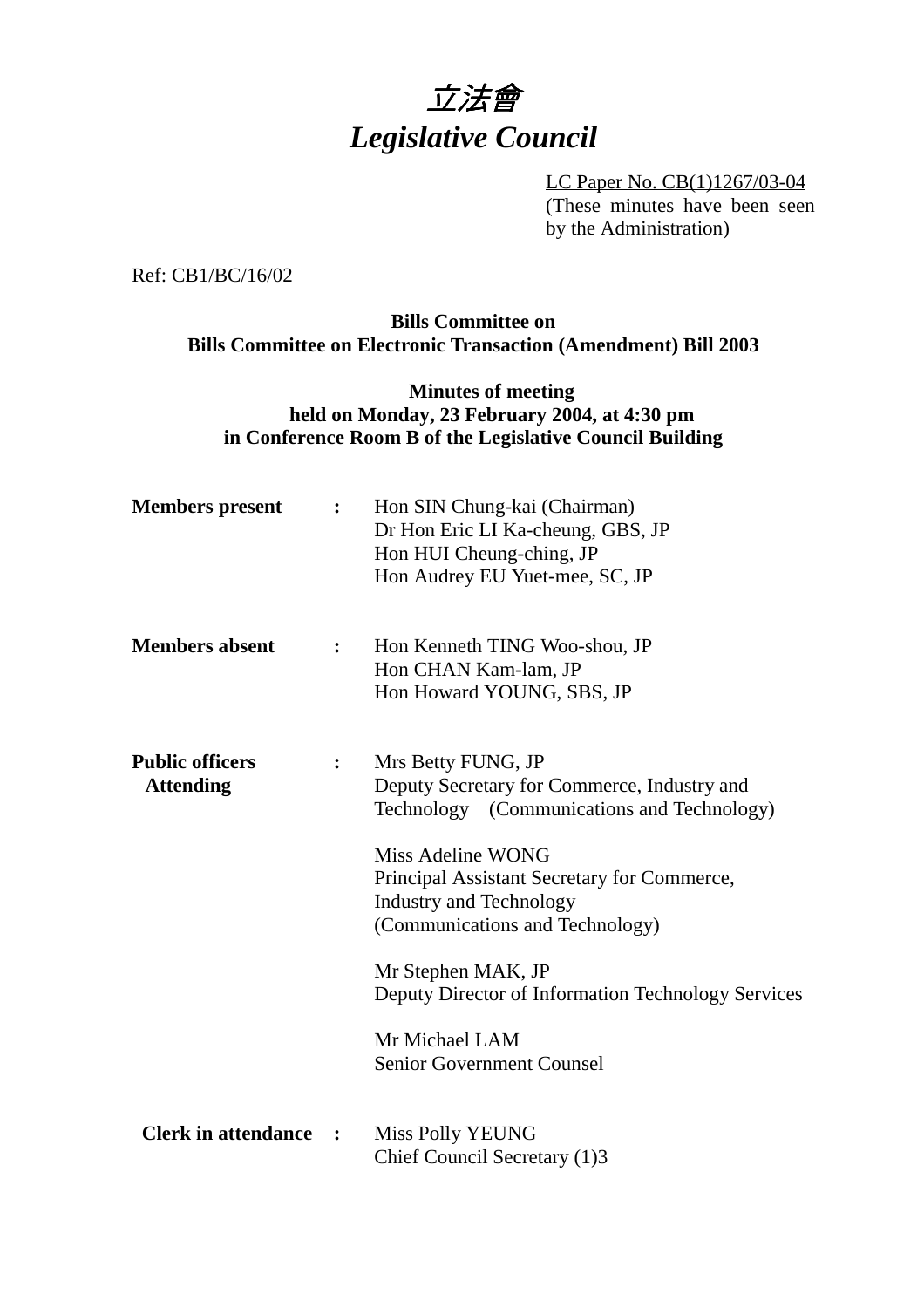

LC Paper No. CB(1)1267/03-04 (These minutes have been seen by the Administration)

Ref: CB1/BC/16/02

# **Bills Committee on Bills Committee on Electronic Transaction (Amendment) Bill 2003**

# **Minutes of meeting held on Monday, 23 February 2004, at 4:30 pm in Conference Room B of the Legislative Council Building**

| <b>Members</b> present                     | $\ddot{\cdot}$       | Hon SIN Chung-kai (Chairman)<br>Dr Hon Eric LI Ka-cheung, GBS, JP<br>Hon HUI Cheung-ching, JP<br>Hon Audrey EU Yuet-mee, SC, JP                                                                                                                                                                                                                                                            |
|--------------------------------------------|----------------------|--------------------------------------------------------------------------------------------------------------------------------------------------------------------------------------------------------------------------------------------------------------------------------------------------------------------------------------------------------------------------------------------|
| <b>Members absent</b>                      |                      | Hon Kenneth TING Woo-shou, JP<br>Hon CHAN Kam-lam, JP<br>Hon Howard YOUNG, SBS, JP                                                                                                                                                                                                                                                                                                         |
| <b>Public officers</b><br><b>Attending</b> |                      | Mrs Betty FUNG, JP<br>Deputy Secretary for Commerce, Industry and<br>Technology (Communications and Technology)<br>Miss Adeline WONG<br>Principal Assistant Secretary for Commerce,<br><b>Industry and Technology</b><br>(Communications and Technology)<br>Mr Stephen MAK, JP<br>Deputy Director of Information Technology Services<br>Mr Michael LAM<br><b>Senior Government Counsel</b> |
| <b>Clerk in attendance</b>                 | $\ddot{\phantom{1}}$ | <b>Miss Polly YEUNG</b><br>Chief Council Secretary (1)3                                                                                                                                                                                                                                                                                                                                    |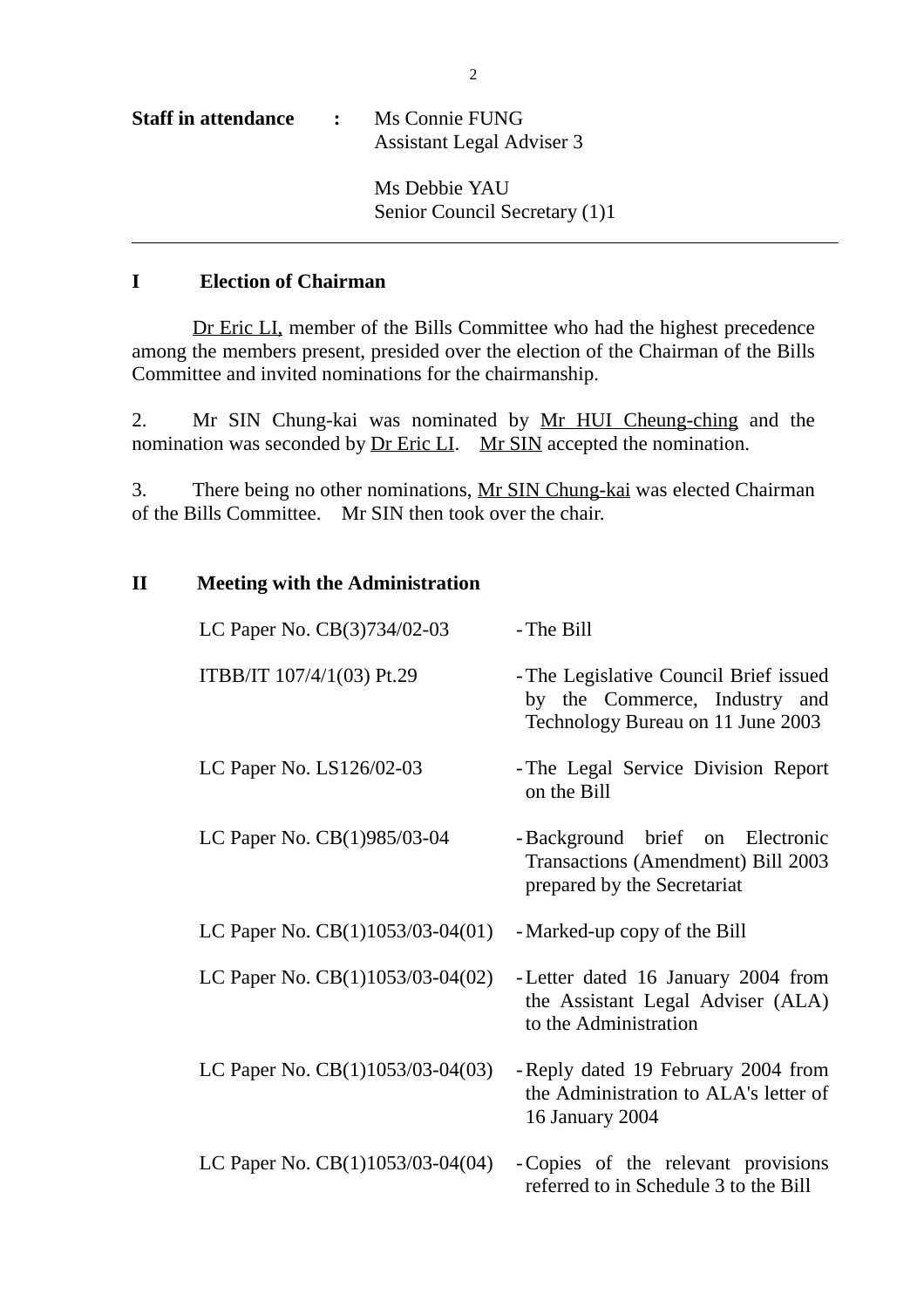| <b>Staff in attendance</b> | $\mathbf{L}$ | Ms Connie FUNG<br>Assistant Legal Adviser 3    |  |
|----------------------------|--------------|------------------------------------------------|--|
|                            |              | Ms Debbie YAU<br>Senior Council Secretary (1)1 |  |

# **I Election of Chairman**

Dr Eric LI, member of the Bills Committee who had the highest precedence among the members present, presided over the election of the Chairman of the Bills Committee and invited nominations for the chairmanship.

2. Mr SIN Chung-kai was nominated by Mr HUI Cheung-ching and the nomination was seconded by <u>Dr Eric LI</u>. Mr SIN accepted the nomination.

3. There being no other nominations, Mr SIN Chung-kai was elected Chairman of the Bills Committee. Mr SIN then took over the chair.

| $\mathbf{I}$ |  |  | <b>Meeting with the Administration</b> |
|--------------|--|--|----------------------------------------|
|--------------|--|--|----------------------------------------|

| LC Paper No. CB(3)734/02-03        | - The Bill                                                                                                   |
|------------------------------------|--------------------------------------------------------------------------------------------------------------|
| ITBB/IT 107/4/1(03) Pt.29          | - The Legislative Council Brief issued<br>by the Commerce, Industry and<br>Technology Bureau on 11 June 2003 |
| LC Paper No. LS126/02-03           | - The Legal Service Division Report<br>on the Bill                                                           |
| LC Paper No. CB(1)985/03-04        | -Background brief on Electronic<br><b>Transactions (Amendment) Bill 2003</b><br>prepared by the Secretariat  |
| LC Paper No. $CB(1)1053/03-04(01)$ | - Marked-up copy of the Bill                                                                                 |
| LC Paper No. $CB(1)1053/03-04(02)$ | - Letter dated 16 January 2004 from<br>the Assistant Legal Adviser (ALA)<br>to the Administration            |
| LC Paper No. $CB(1)1053/03-04(03)$ | - Reply dated 19 February 2004 from<br>the Administration to ALA's letter of<br>16 January 2004              |
| LC Paper No. CB(1)1053/03-04(04)   | - Copies of the relevant provisions<br>referred to in Schedule 3 to the Bill                                 |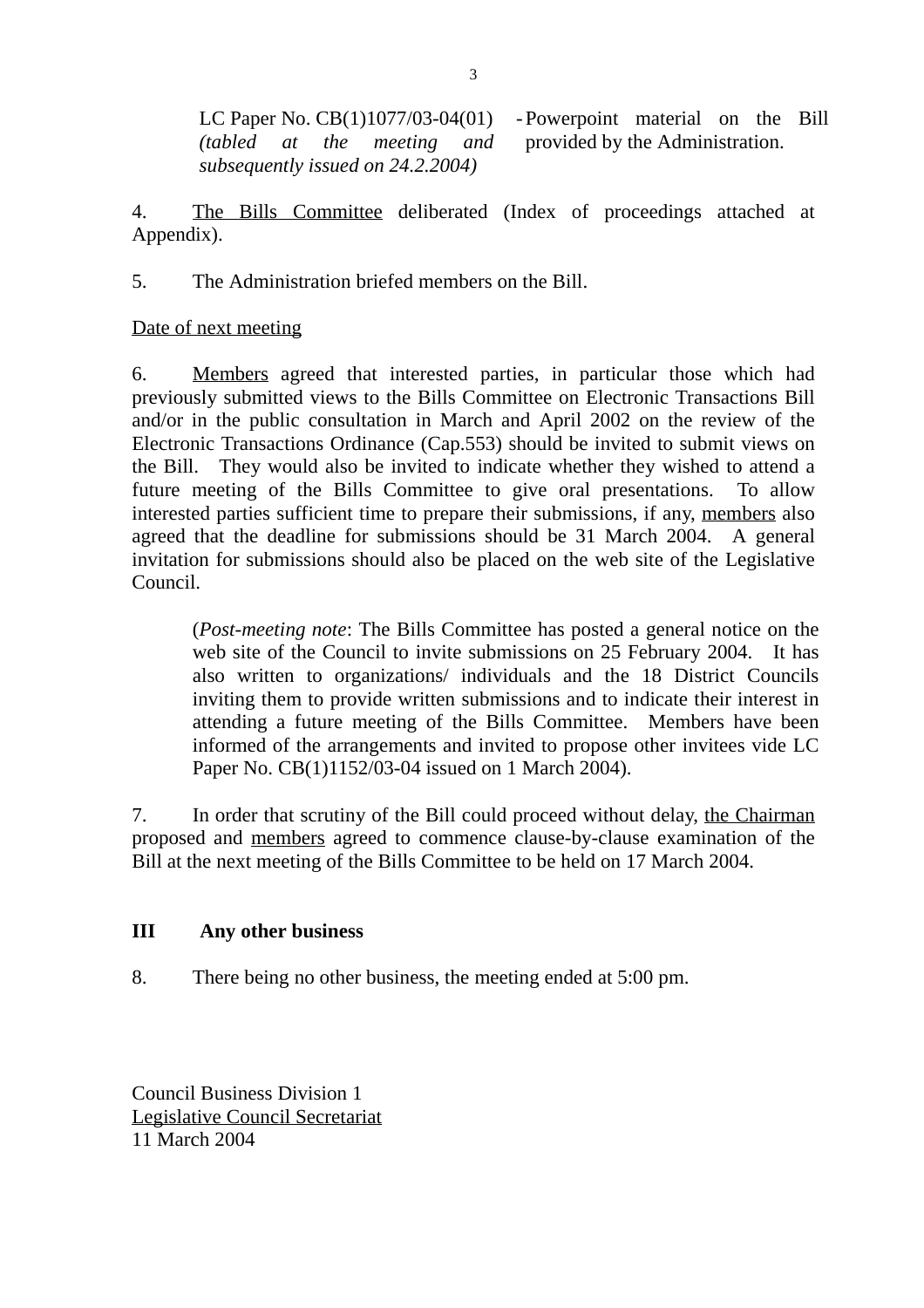LC Paper No. CB(1)1077/03-04(01) *(tabled at the meeting and subsequently issued on 24.2.2004)* - Powerpoint material on the Bill provided by the Administration.

4. The Bills Committee deliberated (Index of proceedings attached at Appendix).

5. The Administration briefed members on the Bill.

# Date of next meeting

6. Members agreed that interested parties, in particular those which had previously submitted views to the Bills Committee on Electronic Transactions Bill and/or in the public consultation in March and April 2002 on the review of the Electronic Transactions Ordinance (Cap.553) should be invited to submit views on the Bill. They would also be invited to indicate whether they wished to attend a future meeting of the Bills Committee to give oral presentations. To allow interested parties sufficient time to prepare their submissions, if any, members also agreed that the deadline for submissions should be 31 March 2004. A general invitation for submissions should also be placed on the web site of the Legislative Council.

(*Post-meeting note*: The Bills Committee has posted a general notice on the web site of the Council to invite submissions on 25 February 2004. It has also written to organizations/ individuals and the 18 District Councils inviting them to provide written submissions and to indicate their interest in attending a future meeting of the Bills Committee. Members have been informed of the arrangements and invited to propose other invitees vide LC Paper No. CB(1)1152/03-04 issued on 1 March 2004).

7. In order that scrutiny of the Bill could proceed without delay, the Chairman proposed and members agreed to commence clause-by-clause examination of the Bill at the next meeting of the Bills Committee to be held on 17 March 2004.

# **III Any other business**

8. There being no other business, the meeting ended at 5:00 pm.

Council Business Division 1 Legislative Council Secretariat 11 March 2004